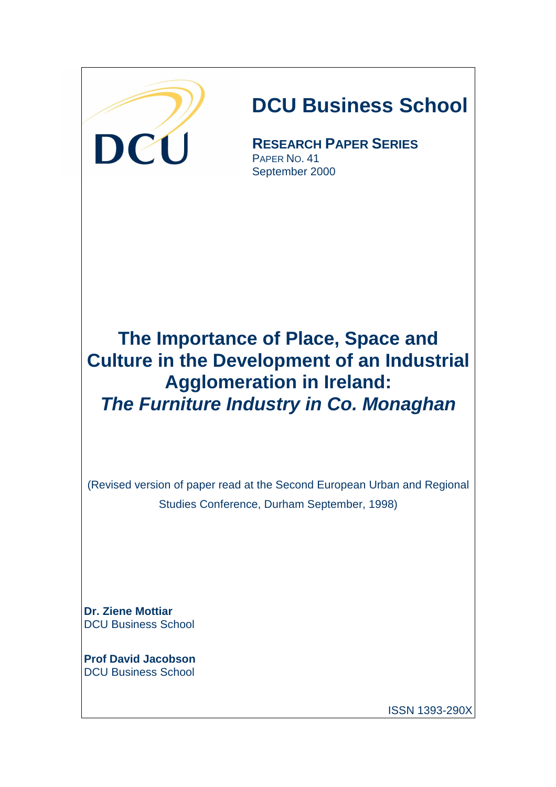

# **DCU Business School**

 **RESEARCH PAPER SERIES** September 2000

**The Importance of Place, Space and Culture in the Development of an Industrial Agglomeration in Ireland: The Furniture Industry in Co. Monaghan**

(Revised version of paper read at the Second European Urban and Regional Studies Conference, Durham September, 1998)

**Dr. Ziene Mottiar**  DCU Business School

**Prof David Jacobson**  DCU Business School

ISSN 1393-290X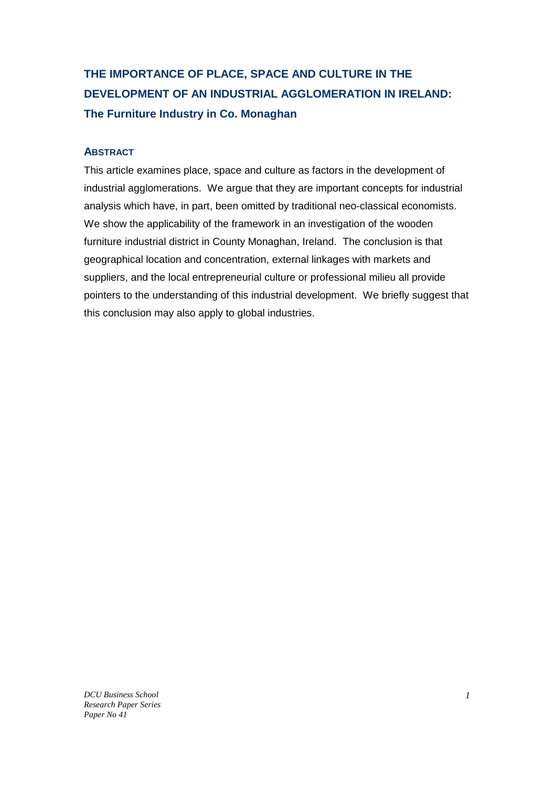## **THE IMPORTANCE OF PLACE, SPACE AND CULTURE IN THE DEVELOPMENT OF AN INDUSTRIAL AGGLOMERATION IN IRELAND: The Furniture Industry in Co. Monaghan**

#### **ABSTRACT**

This article examines place, space and culture as factors in the development of industrial agglomerations. We argue that they are important concepts for industrial analysis which have, in part, been omitted by traditional neo-classical economists. We show the applicability of the framework in an investigation of the wooden furniture industrial district in County Monaghan, Ireland. The conclusion is that geographical location and concentration, external linkages with markets and suppliers, and the local entrepreneurial culture or professional milieu all provide pointers to the understanding of this industrial development. We briefly suggest that this conclusion may also apply to global industries.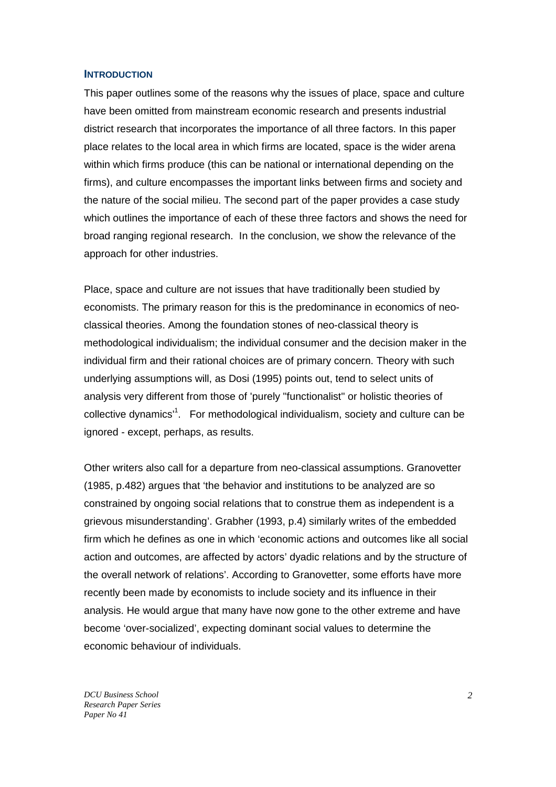#### **INTRODUCTION**

This paper outlines some of the reasons why the issues of place, space and culture have been omitted from mainstream economic research and presents industrial district research that incorporates the importance of all three factors. In this paper place relates to the local area in which firms are located, space is the wider arena within which firms produce (this can be national or international depending on the firms), and culture encompasses the important links between firms and society and the nature of the social milieu. The second part of the paper provides a case study which outlines the importance of each of these three factors and shows the need for broad ranging regional research. In the conclusion, we show the relevance of the approach for other industries.

Place, space and culture are not issues that have traditionally been studied by economists. The primary reason for this is the predominance in economics of neoclassical theories. Among the foundation stones of neo-classical theory is methodological individualism; the individual consumer and the decision maker in the individual firm and their rational choices are of primary concern. Theory with such underlying assumptions will, as Dosi (1995) points out, tend to select units of analysis very different from those of 'purely "functionalist" or holistic theories of collective dynamics<sup>1</sup>. For methodological individualism, society and culture can be ignored - except, perhaps, as results.

Other writers also call for a departure from neo-classical assumptions. Granovetter (1985, p.482) argues that 'the behavior and institutions to be analyzed are so constrained by ongoing social relations that to construe them as independent is a grievous misunderstanding'. Grabher (1993, p.4) similarly writes of the embedded firm which he defines as one in which 'economic actions and outcomes like all social action and outcomes, are affected by actors' dyadic relations and by the structure of the overall network of relations'. According to Granovetter, some efforts have more recently been made by economists to include society and its influence in their analysis. He would argue that many have now gone to the other extreme and have become 'over-socialized', expecting dominant social values to determine the economic behaviour of individuals.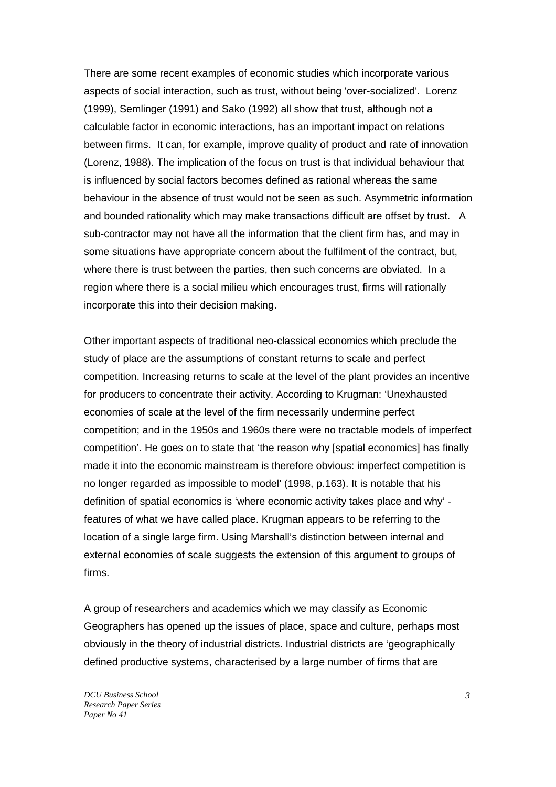There are some recent examples of economic studies which incorporate various aspects of social interaction, such as trust, without being 'over-socialized'. Lorenz (1999), Semlinger (1991) and Sako (1992) all show that trust, although not a calculable factor in economic interactions, has an important impact on relations between firms. It can, for example, improve quality of product and rate of innovation (Lorenz, 1988). The implication of the focus on trust is that individual behaviour that is influenced by social factors becomes defined as rational whereas the same behaviour in the absence of trust would not be seen as such. Asymmetric information and bounded rationality which may make transactions difficult are offset by trust. A sub-contractor may not have all the information that the client firm has, and may in some situations have appropriate concern about the fulfilment of the contract, but, where there is trust between the parties, then such concerns are obviated. In a region where there is a social milieu which encourages trust, firms will rationally incorporate this into their decision making.

Other important aspects of traditional neo-classical economics which preclude the study of place are the assumptions of constant returns to scale and perfect competition. Increasing returns to scale at the level of the plant provides an incentive for producers to concentrate their activity. According to Krugman: 'Unexhausted economies of scale at the level of the firm necessarily undermine perfect competition; and in the 1950s and 1960s there were no tractable models of imperfect competition'. He goes on to state that 'the reason why [spatial economics] has finally made it into the economic mainstream is therefore obvious: imperfect competition is no longer regarded as impossible to model' (1998, p.163). It is notable that his definition of spatial economics is 'where economic activity takes place and why' features of what we have called place. Krugman appears to be referring to the location of a single large firm. Using Marshall's distinction between internal and external economies of scale suggests the extension of this argument to groups of firms.

A group of researchers and academics which we may classify as Economic Geographers has opened up the issues of place, space and culture, perhaps most obviously in the theory of industrial districts. Industrial districts are 'geographically defined productive systems, characterised by a large number of firms that are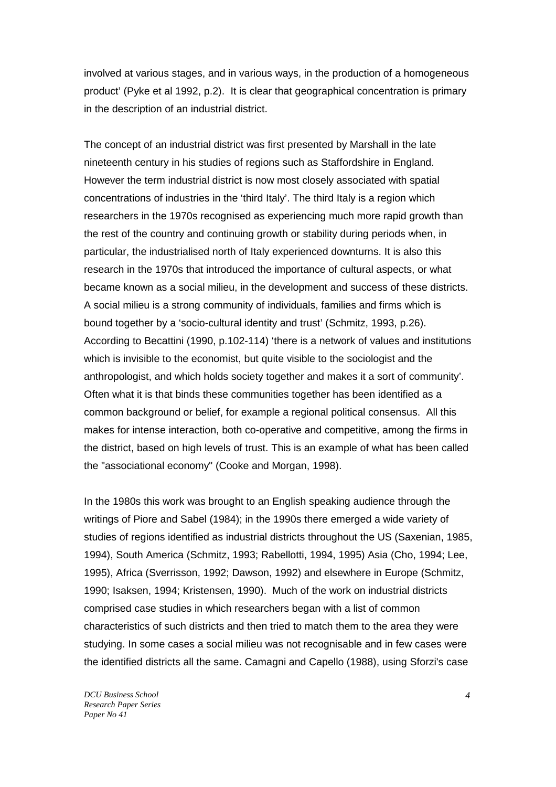involved at various stages, and in various ways, in the production of a homogeneous product' (Pyke et al 1992, p.2). It is clear that geographical concentration is primary in the description of an industrial district.

The concept of an industrial district was first presented by Marshall in the late nineteenth century in his studies of regions such as Staffordshire in England. However the term industrial district is now most closely associated with spatial concentrations of industries in the 'third Italy'. The third Italy is a region which researchers in the 1970s recognised as experiencing much more rapid growth than the rest of the country and continuing growth or stability during periods when, in particular, the industrialised north of Italy experienced downturns. It is also this research in the 1970s that introduced the importance of cultural aspects, or what became known as a social milieu, in the development and success of these districts. A social milieu is a strong community of individuals, families and firms which is bound together by a 'socio-cultural identity and trust' (Schmitz, 1993, p.26). According to Becattini (1990, p.102-114) 'there is a network of values and institutions which is invisible to the economist, but quite visible to the sociologist and the anthropologist, and which holds society together and makes it a sort of community'. Often what it is that binds these communities together has been identified as a common background or belief, for example a regional political consensus. All this makes for intense interaction, both co-operative and competitive, among the firms in the district, based on high levels of trust. This is an example of what has been called the "associational economy" (Cooke and Morgan, 1998).

In the 1980s this work was brought to an English speaking audience through the writings of Piore and Sabel (1984); in the 1990s there emerged a wide variety of studies of regions identified as industrial districts throughout the US (Saxenian, 1985, 1994), South America (Schmitz, 1993; Rabellotti, 1994, 1995) Asia (Cho, 1994; Lee, 1995), Africa (Sverrisson, 1992; Dawson, 1992) and elsewhere in Europe (Schmitz, 1990; Isaksen, 1994; Kristensen, 1990). Much of the work on industrial districts comprised case studies in which researchers began with a list of common characteristics of such districts and then tried to match them to the area they were studying. In some cases a social milieu was not recognisable and in few cases were the identified districts all the same. Camagni and Capello (1988), using Sforzi's case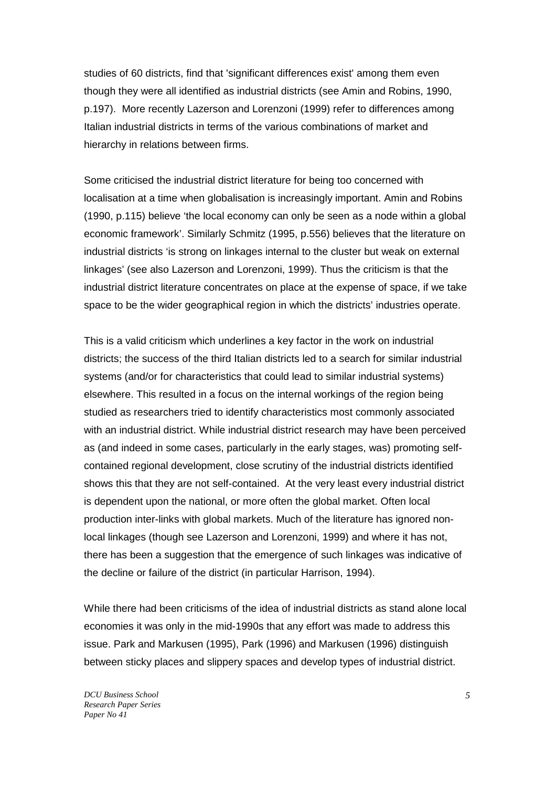studies of 60 districts, find that 'significant differences exist' among them even though they were all identified as industrial districts (see Amin and Robins, 1990, p.197). More recently Lazerson and Lorenzoni (1999) refer to differences among Italian industrial districts in terms of the various combinations of market and hierarchy in relations between firms.

Some criticised the industrial district literature for being too concerned with localisation at a time when globalisation is increasingly important. Amin and Robins (1990, p.115) believe 'the local economy can only be seen as a node within a global economic framework'. Similarly Schmitz (1995, p.556) believes that the literature on industrial districts 'is strong on linkages internal to the cluster but weak on external linkages' (see also Lazerson and Lorenzoni, 1999). Thus the criticism is that the industrial district literature concentrates on place at the expense of space, if we take space to be the wider geographical region in which the districts' industries operate.

This is a valid criticism which underlines a key factor in the work on industrial districts; the success of the third Italian districts led to a search for similar industrial systems (and/or for characteristics that could lead to similar industrial systems) elsewhere. This resulted in a focus on the internal workings of the region being studied as researchers tried to identify characteristics most commonly associated with an industrial district. While industrial district research may have been perceived as (and indeed in some cases, particularly in the early stages, was) promoting selfcontained regional development, close scrutiny of the industrial districts identified shows this that they are not self-contained. At the very least every industrial district is dependent upon the national, or more often the global market. Often local production inter-links with global markets. Much of the literature has ignored nonlocal linkages (though see Lazerson and Lorenzoni, 1999) and where it has not, there has been a suggestion that the emergence of such linkages was indicative of the decline or failure of the district (in particular Harrison, 1994).

While there had been criticisms of the idea of industrial districts as stand alone local economies it was only in the mid-1990s that any effort was made to address this issue. Park and Markusen (1995), Park (1996) and Markusen (1996) distinguish between sticky places and slippery spaces and develop types of industrial district.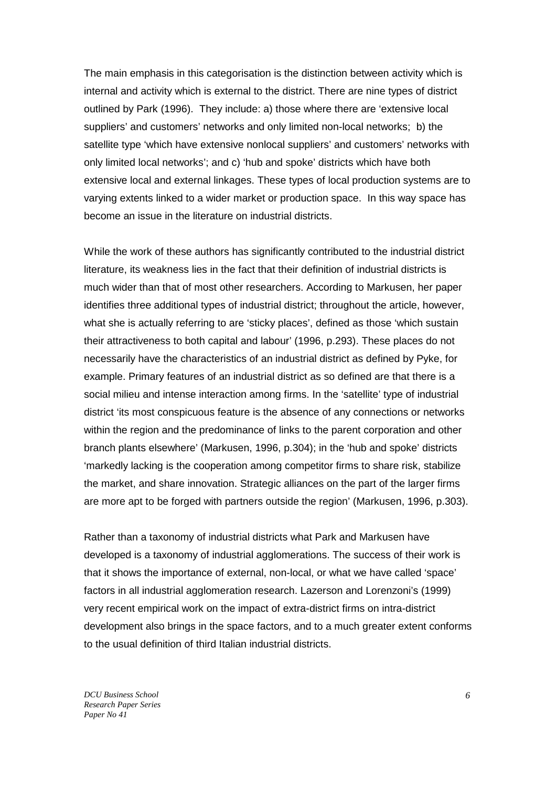The main emphasis in this categorisation is the distinction between activity which is internal and activity which is external to the district. There are nine types of district outlined by Park (1996). They include: a) those where there are 'extensive local suppliers' and customers' networks and only limited non-local networks; b) the satellite type 'which have extensive nonlocal suppliers' and customers' networks with only limited local networks'; and c) 'hub and spoke' districts which have both extensive local and external linkages. These types of local production systems are to varying extents linked to a wider market or production space. In this way space has become an issue in the literature on industrial districts.

While the work of these authors has significantly contributed to the industrial district literature, its weakness lies in the fact that their definition of industrial districts is much wider than that of most other researchers. According to Markusen, her paper identifies three additional types of industrial district; throughout the article, however, what she is actually referring to are 'sticky places', defined as those 'which sustain their attractiveness to both capital and labour' (1996, p.293). These places do not necessarily have the characteristics of an industrial district as defined by Pyke, for example. Primary features of an industrial district as so defined are that there is a social milieu and intense interaction among firms. In the 'satellite' type of industrial district 'its most conspicuous feature is the absence of any connections or networks within the region and the predominance of links to the parent corporation and other branch plants elsewhere' (Markusen, 1996, p.304); in the 'hub and spoke' districts 'markedly lacking is the cooperation among competitor firms to share risk, stabilize the market, and share innovation. Strategic alliances on the part of the larger firms are more apt to be forged with partners outside the region' (Markusen, 1996, p.303).

Rather than a taxonomy of industrial districts what Park and Markusen have developed is a taxonomy of industrial agglomerations. The success of their work is that it shows the importance of external, non-local, or what we have called 'space' factors in all industrial agglomeration research. Lazerson and Lorenzoni's (1999) very recent empirical work on the impact of extra-district firms on intra-district development also brings in the space factors, and to a much greater extent conforms to the usual definition of third Italian industrial districts.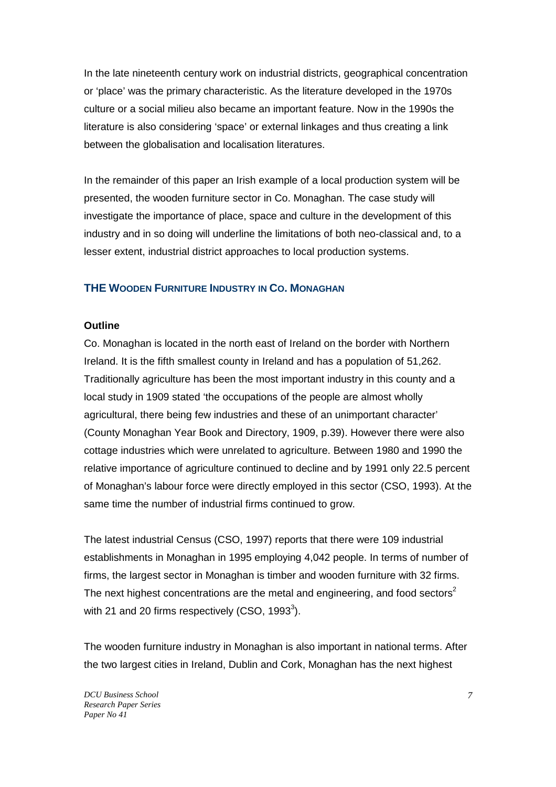In the late nineteenth century work on industrial districts, geographical concentration or 'place' was the primary characteristic. As the literature developed in the 1970s culture or a social milieu also became an important feature. Now in the 1990s the literature is also considering 'space' or external linkages and thus creating a link between the globalisation and localisation literatures.

In the remainder of this paper an Irish example of a local production system will be presented, the wooden furniture sector in Co. Monaghan. The case study will investigate the importance of place, space and culture in the development of this industry and in so doing will underline the limitations of both neo-classical and, to a lesser extent, industrial district approaches to local production systems.

#### **THE WOODEN FURNITURE INDUSTRY IN CO. MONAGHAN**

#### **Outline**

Co. Monaghan is located in the north east of Ireland on the border with Northern Ireland. It is the fifth smallest county in Ireland and has a population of 51,262. Traditionally agriculture has been the most important industry in this county and a local study in 1909 stated 'the occupations of the people are almost wholly agricultural, there being few industries and these of an unimportant character' (County Monaghan Year Book and Directory, 1909, p.39). However there were also cottage industries which were unrelated to agriculture. Between 1980 and 1990 the relative importance of agriculture continued to decline and by 1991 only 22.5 percent of Monaghan's labour force were directly employed in this sector (CSO, 1993). At the same time the number of industrial firms continued to grow.

The latest industrial Census (CSO, 1997) reports that there were 109 industrial establishments in Monaghan in 1995 employing 4,042 people. In terms of number of firms, the largest sector in Monaghan is timber and wooden furniture with 32 firms. The next highest concentrations are the metal and engineering, and food sectors<sup>2</sup> with 21 and 20 firms respectively (CSO, 1993 $^3$ ).

The wooden furniture industry in Monaghan is also important in national terms. After the two largest cities in Ireland, Dublin and Cork, Monaghan has the next highest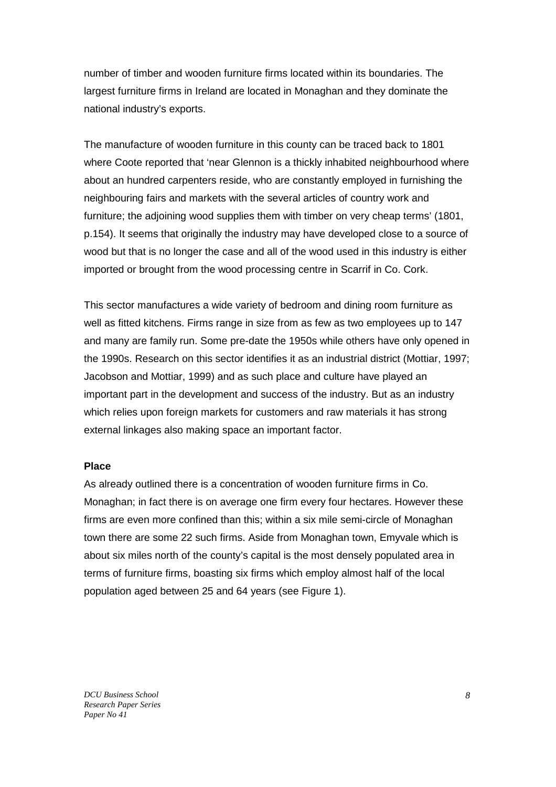number of timber and wooden furniture firms located within its boundaries. The largest furniture firms in Ireland are located in Monaghan and they dominate the national industry's exports.

The manufacture of wooden furniture in this county can be traced back to 1801 where Coote reported that 'near Glennon is a thickly inhabited neighbourhood where about an hundred carpenters reside, who are constantly employed in furnishing the neighbouring fairs and markets with the several articles of country work and furniture; the adjoining wood supplies them with timber on very cheap terms' (1801, p.154). It seems that originally the industry may have developed close to a source of wood but that is no longer the case and all of the wood used in this industry is either imported or brought from the wood processing centre in Scarrif in Co. Cork.

This sector manufactures a wide variety of bedroom and dining room furniture as well as fitted kitchens. Firms range in size from as few as two employees up to 147 and many are family run. Some pre-date the 1950s while others have only opened in the 1990s. Research on this sector identifies it as an industrial district (Mottiar, 1997; Jacobson and Mottiar, 1999) and as such place and culture have played an important part in the development and success of the industry. But as an industry which relies upon foreign markets for customers and raw materials it has strong external linkages also making space an important factor.

#### **Place**

As already outlined there is a concentration of wooden furniture firms in Co. Monaghan; in fact there is on average one firm every four hectares. However these firms are even more confined than this; within a six mile semi-circle of Monaghan town there are some 22 such firms. Aside from Monaghan town, Emyvale which is about six miles north of the county's capital is the most densely populated area in terms of furniture firms, boasting six firms which employ almost half of the local population aged between 25 and 64 years (see Figure 1).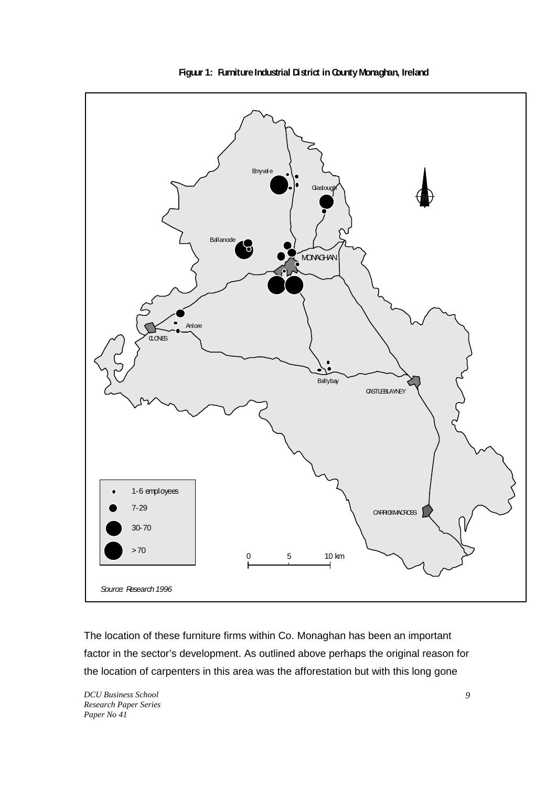

**Figuur 1: Furniture Industrial District in County Monaghan, Ireland**

The location of these furniture firms within Co. Monaghan has been an important factor in the sector's development. As outlined above perhaps the original reason for the location of carpenters in this area was the afforestation but with this long gone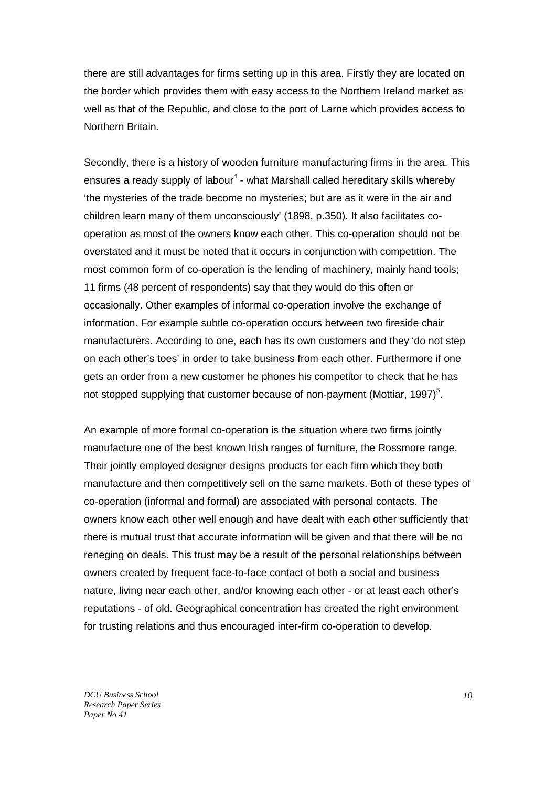there are still advantages for firms setting up in this area. Firstly they are located on the border which provides them with easy access to the Northern Ireland market as well as that of the Republic, and close to the port of Larne which provides access to Northern Britain.

Secondly, there is a history of wooden furniture manufacturing firms in the area. This ensures a ready supply of labour<sup>4</sup> - what Marshall called hereditary skills whereby 'the mysteries of the trade become no mysteries; but are as it were in the air and children learn many of them unconsciously' (1898, p.350). It also facilitates cooperation as most of the owners know each other. This co-operation should not be overstated and it must be noted that it occurs in conjunction with competition. The most common form of co-operation is the lending of machinery, mainly hand tools; 11 firms (48 percent of respondents) say that they would do this often or occasionally. Other examples of informal co-operation involve the exchange of information. For example subtle co-operation occurs between two fireside chair manufacturers. According to one, each has its own customers and they 'do not step on each other's toes' in order to take business from each other. Furthermore if one gets an order from a new customer he phones his competitor to check that he has not stopped supplying that customer because of non-payment (Mottiar, 1997) $5$ .

An example of more formal co-operation is the situation where two firms jointly manufacture one of the best known Irish ranges of furniture, the Rossmore range. Their jointly employed designer designs products for each firm which they both manufacture and then competitively sell on the same markets. Both of these types of co-operation (informal and formal) are associated with personal contacts. The owners know each other well enough and have dealt with each other sufficiently that there is mutual trust that accurate information will be given and that there will be no reneging on deals. This trust may be a result of the personal relationships between owners created by frequent face-to-face contact of both a social and business nature, living near each other, and/or knowing each other - or at least each other's reputations - of old. Geographical concentration has created the right environment for trusting relations and thus encouraged inter-firm co-operation to develop.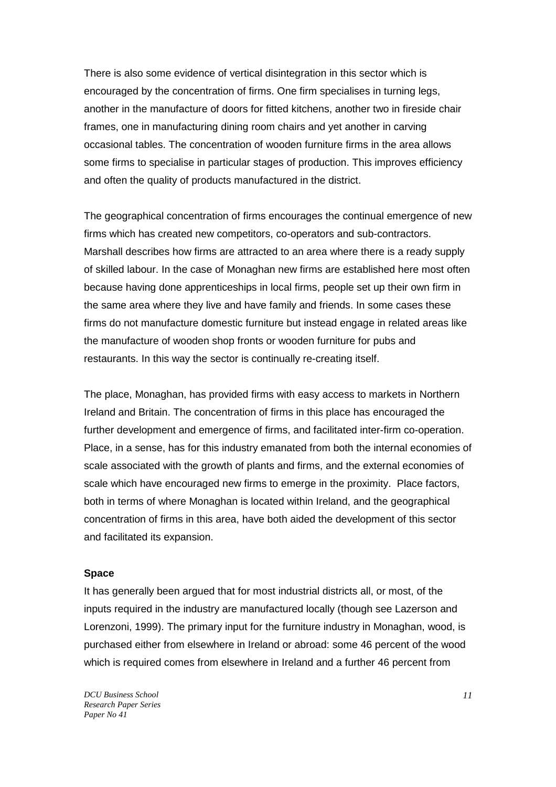There is also some evidence of vertical disintegration in this sector which is encouraged by the concentration of firms. One firm specialises in turning legs, another in the manufacture of doors for fitted kitchens, another two in fireside chair frames, one in manufacturing dining room chairs and yet another in carving occasional tables. The concentration of wooden furniture firms in the area allows some firms to specialise in particular stages of production. This improves efficiency and often the quality of products manufactured in the district.

The geographical concentration of firms encourages the continual emergence of new firms which has created new competitors, co-operators and sub-contractors. Marshall describes how firms are attracted to an area where there is a ready supply of skilled labour. In the case of Monaghan new firms are established here most often because having done apprenticeships in local firms, people set up their own firm in the same area where they live and have family and friends. In some cases these firms do not manufacture domestic furniture but instead engage in related areas like the manufacture of wooden shop fronts or wooden furniture for pubs and restaurants. In this way the sector is continually re-creating itself.

The place, Monaghan, has provided firms with easy access to markets in Northern Ireland and Britain. The concentration of firms in this place has encouraged the further development and emergence of firms, and facilitated inter-firm co-operation. Place, in a sense, has for this industry emanated from both the internal economies of scale associated with the growth of plants and firms, and the external economies of scale which have encouraged new firms to emerge in the proximity. Place factors, both in terms of where Monaghan is located within Ireland, and the geographical concentration of firms in this area, have both aided the development of this sector and facilitated its expansion.

#### **Space**

It has generally been argued that for most industrial districts all, or most, of the inputs required in the industry are manufactured locally (though see Lazerson and Lorenzoni, 1999). The primary input for the furniture industry in Monaghan, wood, is purchased either from elsewhere in Ireland or abroad: some 46 percent of the wood which is required comes from elsewhere in Ireland and a further 46 percent from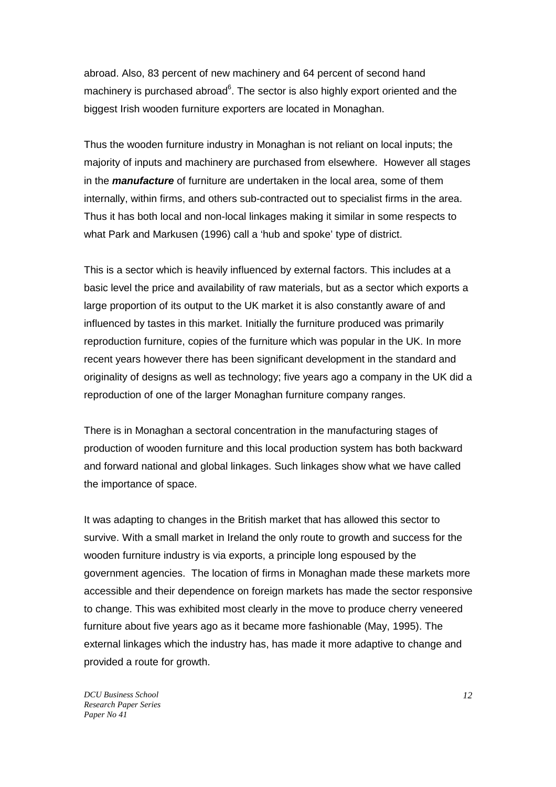abroad. Also, 83 percent of new machinery and 64 percent of second hand machinery is purchased abroad<sup>6</sup>. The sector is also highly export oriented and the biggest Irish wooden furniture exporters are located in Monaghan.

Thus the wooden furniture industry in Monaghan is not reliant on local inputs; the majority of inputs and machinery are purchased from elsewhere. However all stages in the **manufacture** of furniture are undertaken in the local area, some of them internally, within firms, and others sub-contracted out to specialist firms in the area. Thus it has both local and non-local linkages making it similar in some respects to what Park and Markusen (1996) call a 'hub and spoke' type of district.

This is a sector which is heavily influenced by external factors. This includes at a basic level the price and availability of raw materials, but as a sector which exports a large proportion of its output to the UK market it is also constantly aware of and influenced by tastes in this market. Initially the furniture produced was primarily reproduction furniture, copies of the furniture which was popular in the UK. In more recent years however there has been significant development in the standard and originality of designs as well as technology; five years ago a company in the UK did a reproduction of one of the larger Monaghan furniture company ranges.

There is in Monaghan a sectoral concentration in the manufacturing stages of production of wooden furniture and this local production system has both backward and forward national and global linkages. Such linkages show what we have called the importance of space.

It was adapting to changes in the British market that has allowed this sector to survive. With a small market in Ireland the only route to growth and success for the wooden furniture industry is via exports, a principle long espoused by the government agencies. The location of firms in Monaghan made these markets more accessible and their dependence on foreign markets has made the sector responsive to change. This was exhibited most clearly in the move to produce cherry veneered furniture about five years ago as it became more fashionable (May, 1995). The external linkages which the industry has, has made it more adaptive to change and provided a route for growth.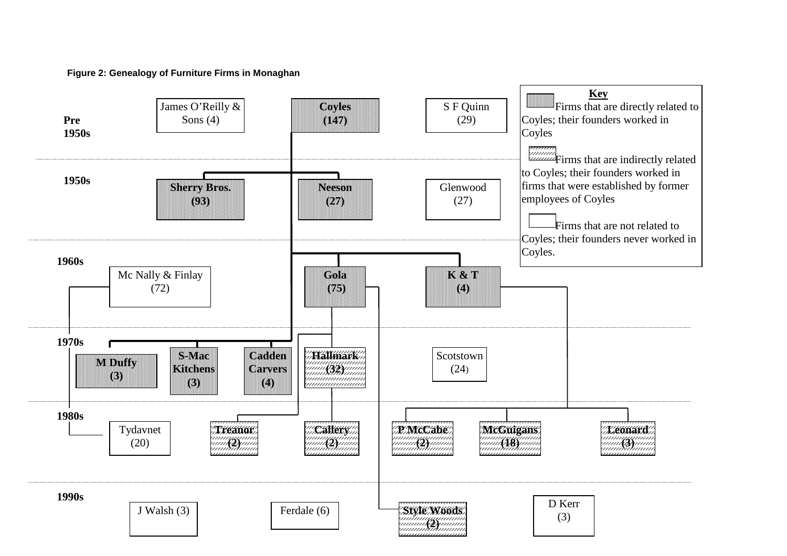#### **Figure 2: Genealogy of Furniture Firms in Monaghan**

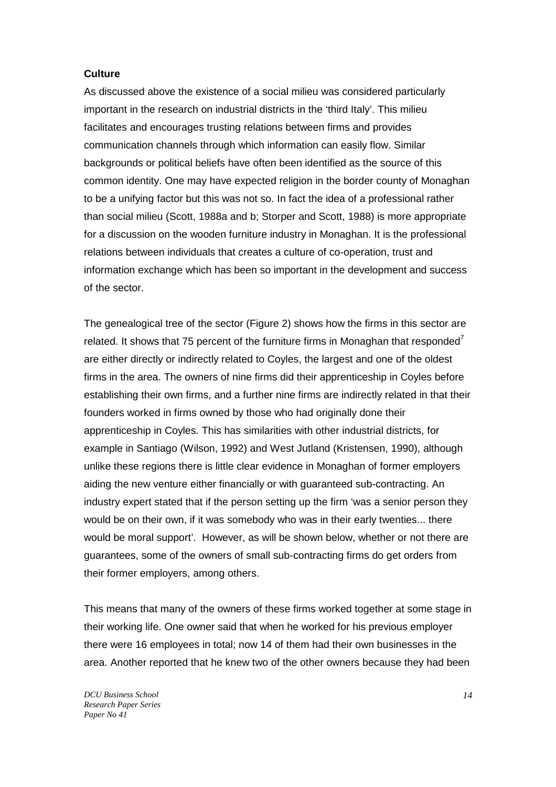#### **Culture**

As discussed above the existence of a social milieu was considered particularly important in the research on industrial districts in the 'third Italy'. This milieu facilitates and encourages trusting relations between firms and provides communication channels through which information can easily flow. Similar backgrounds or political beliefs have often been identified as the source of this common identity. One may have expected religion in the border county of Monaghan to be a unifying factor but this was not so. In fact the idea of a professional rather than social milieu (Scott, 1988a and b; Storper and Scott, 1988) is more appropriate for a discussion on the wooden furniture industry in Monaghan. It is the professional relations between individuals that creates a culture of co-operation, trust and information exchange which has been so important in the development and success of the sector.

The genealogical tree of the sector (Figure 2) shows how the firms in this sector are related. It shows that 75 percent of the furniture firms in Monaghan that responded<sup>7</sup> are either directly or indirectly related to Coyles, the largest and one of the oldest firms in the area. The owners of nine firms did their apprenticeship in Coyles before establishing their own firms, and a further nine firms are indirectly related in that their founders worked in firms owned by those who had originally done their apprenticeship in Coyles. This has similarities with other industrial districts, for example in Santiago (Wilson, 1992) and West Jutland (Kristensen, 1990), although unlike these regions there is little clear evidence in Monaghan of former employers aiding the new venture either financially or with guaranteed sub-contracting. An industry expert stated that if the person setting up the firm 'was a senior person they would be on their own, if it was somebody who was in their early twenties... there would be moral support'. However, as will be shown below, whether or not there are guarantees, some of the owners of small sub-contracting firms do get orders from their former employers, among others.

This means that many of the owners of these firms worked together at some stage in their working life. One owner said that when he worked for his previous employer there were 16 employees in total; now 14 of them had their own businesses in the area. Another reported that he knew two of the other owners because they had been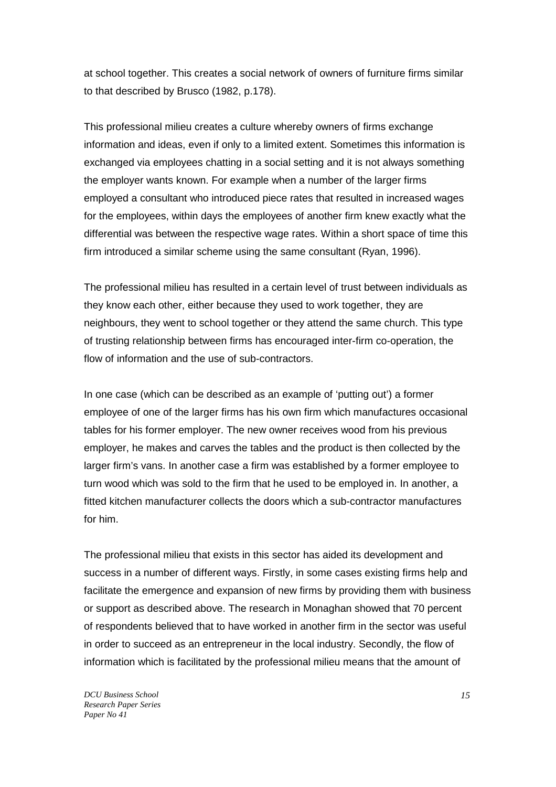at school together. This creates a social network of owners of furniture firms similar to that described by Brusco (1982, p.178).

This professional milieu creates a culture whereby owners of firms exchange information and ideas, even if only to a limited extent. Sometimes this information is exchanged via employees chatting in a social setting and it is not always something the employer wants known. For example when a number of the larger firms employed a consultant who introduced piece rates that resulted in increased wages for the employees, within days the employees of another firm knew exactly what the differential was between the respective wage rates. Within a short space of time this firm introduced a similar scheme using the same consultant (Ryan, 1996).

The professional milieu has resulted in a certain level of trust between individuals as they know each other, either because they used to work together, they are neighbours, they went to school together or they attend the same church. This type of trusting relationship between firms has encouraged inter-firm co-operation, the flow of information and the use of sub-contractors.

In one case (which can be described as an example of 'putting out') a former employee of one of the larger firms has his own firm which manufactures occasional tables for his former employer. The new owner receives wood from his previous employer, he makes and carves the tables and the product is then collected by the larger firm's vans. In another case a firm was established by a former employee to turn wood which was sold to the firm that he used to be employed in. In another, a fitted kitchen manufacturer collects the doors which a sub-contractor manufactures for him.

The professional milieu that exists in this sector has aided its development and success in a number of different ways. Firstly, in some cases existing firms help and facilitate the emergence and expansion of new firms by providing them with business or support as described above. The research in Monaghan showed that 70 percent of respondents believed that to have worked in another firm in the sector was useful in order to succeed as an entrepreneur in the local industry. Secondly, the flow of information which is facilitated by the professional milieu means that the amount of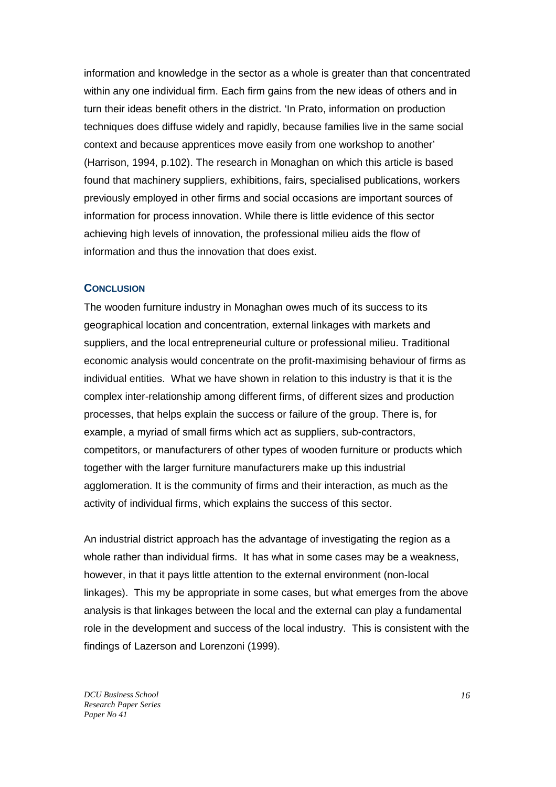information and knowledge in the sector as a whole is greater than that concentrated within any one individual firm. Each firm gains from the new ideas of others and in turn their ideas benefit others in the district. 'In Prato, information on production techniques does diffuse widely and rapidly, because families live in the same social context and because apprentices move easily from one workshop to another' (Harrison, 1994, p.102). The research in Monaghan on which this article is based found that machinery suppliers, exhibitions, fairs, specialised publications, workers previously employed in other firms and social occasions are important sources of information for process innovation. While there is little evidence of this sector achieving high levels of innovation, the professional milieu aids the flow of information and thus the innovation that does exist.

#### **CONCLUSION**

The wooden furniture industry in Monaghan owes much of its success to its geographical location and concentration, external linkages with markets and suppliers, and the local entrepreneurial culture or professional milieu. Traditional economic analysis would concentrate on the profit-maximising behaviour of firms as individual entities. What we have shown in relation to this industry is that it is the complex inter-relationship among different firms, of different sizes and production processes, that helps explain the success or failure of the group. There is, for example, a myriad of small firms which act as suppliers, sub-contractors, competitors, or manufacturers of other types of wooden furniture or products which together with the larger furniture manufacturers make up this industrial agglomeration. It is the community of firms and their interaction, as much as the activity of individual firms, which explains the success of this sector.

An industrial district approach has the advantage of investigating the region as a whole rather than individual firms. It has what in some cases may be a weakness, however, in that it pays little attention to the external environment (non-local linkages). This my be appropriate in some cases, but what emerges from the above analysis is that linkages between the local and the external can play a fundamental role in the development and success of the local industry. This is consistent with the findings of Lazerson and Lorenzoni (1999).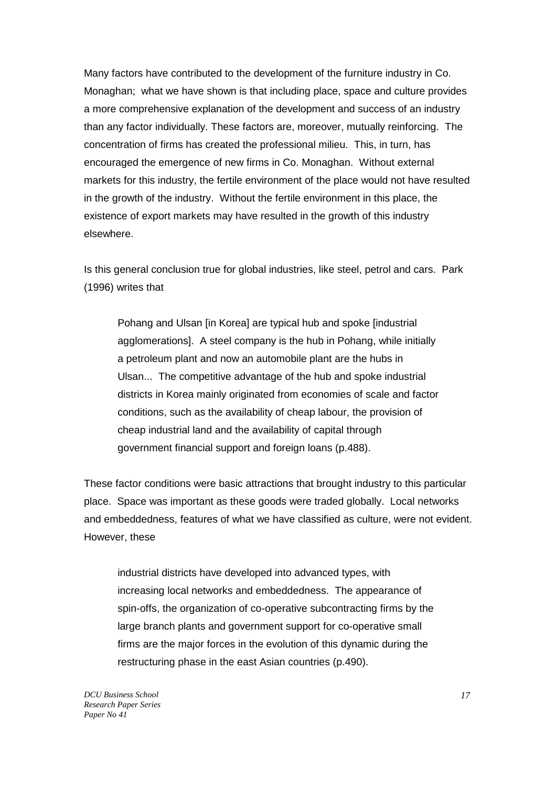Many factors have contributed to the development of the furniture industry in Co. Monaghan; what we have shown is that including place, space and culture provides a more comprehensive explanation of the development and success of an industry than any factor individually. These factors are, moreover, mutually reinforcing. The concentration of firms has created the professional milieu. This, in turn, has encouraged the emergence of new firms in Co. Monaghan. Without external markets for this industry, the fertile environment of the place would not have resulted in the growth of the industry. Without the fertile environment in this place, the existence of export markets may have resulted in the growth of this industry elsewhere.

Is this general conclusion true for global industries, like steel, petrol and cars. Park (1996) writes that

Pohang and Ulsan [in Korea] are typical hub and spoke [industrial agglomerations]. A steel company is the hub in Pohang, while initially a petroleum plant and now an automobile plant are the hubs in Ulsan... The competitive advantage of the hub and spoke industrial districts in Korea mainly originated from economies of scale and factor conditions, such as the availability of cheap labour, the provision of cheap industrial land and the availability of capital through government financial support and foreign loans (p.488).

These factor conditions were basic attractions that brought industry to this particular place. Space was important as these goods were traded globally. Local networks and embeddedness, features of what we have classified as culture, were not evident. However, these

industrial districts have developed into advanced types, with increasing local networks and embeddedness. The appearance of spin-offs, the organization of co-operative subcontracting firms by the large branch plants and government support for co-operative small firms are the major forces in the evolution of this dynamic during the restructuring phase in the east Asian countries (p.490).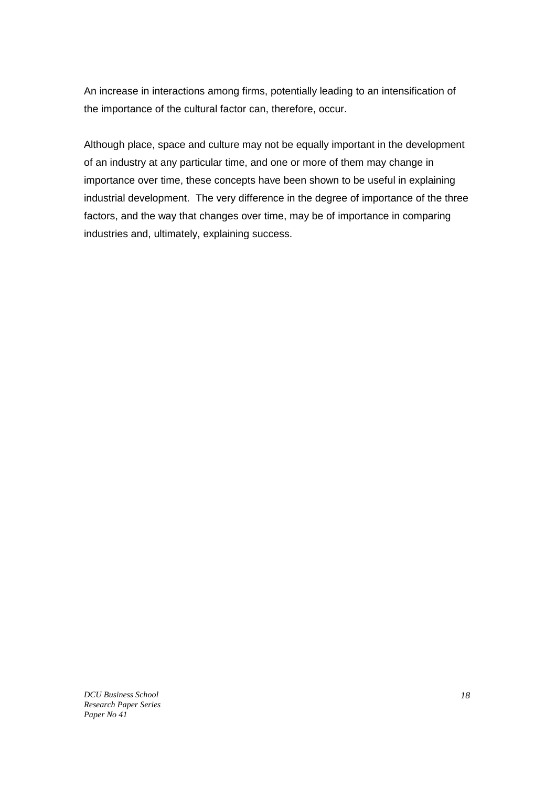An increase in interactions among firms, potentially leading to an intensification of the importance of the cultural factor can, therefore, occur.

Although place, space and culture may not be equally important in the development of an industry at any particular time, and one or more of them may change in importance over time, these concepts have been shown to be useful in explaining industrial development. The very difference in the degree of importance of the three factors, and the way that changes over time, may be of importance in comparing industries and, ultimately, explaining success.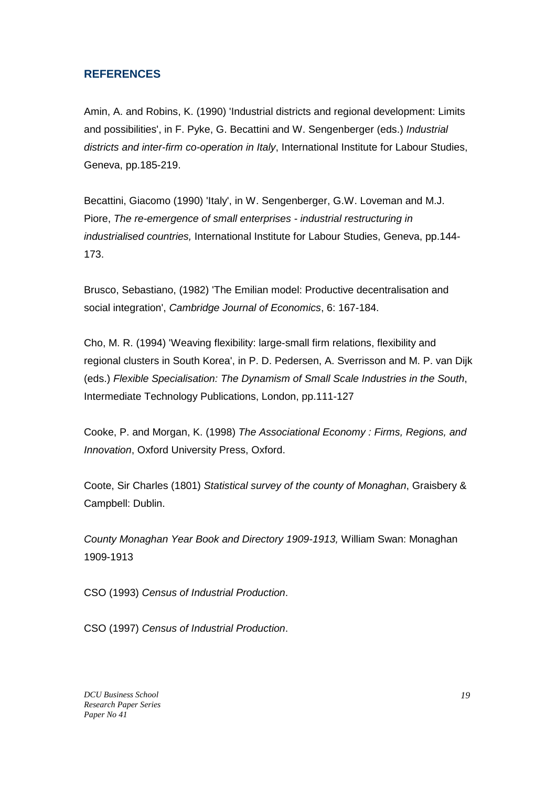### **REFERENCES**

Amin, A. and Robins, K. (1990) 'Industrial districts and regional development: Limits and possibilities', in F. Pyke, G. Becattini and W. Sengenberger (eds.) Industrial districts and inter-firm co-operation in Italy, International Institute for Labour Studies, Geneva, pp.185-219.

Becattini, Giacomo (1990) 'Italy', in W. Sengenberger, G.W. Loveman and M.J. Piore, The re-emergence of small enterprises - industrial restructuring in industrialised countries, International Institute for Labour Studies, Geneva, pp.144- 173.

Brusco, Sebastiano, (1982) 'The Emilian model: Productive decentralisation and social integration', Cambridge Journal of Economics, 6: 167-184.

Cho, M. R. (1994) 'Weaving flexibility: large-small firm relations, flexibility and regional clusters in South Korea', in P. D. Pedersen, A. Sverrisson and M. P. van Dijk (eds.) Flexible Specialisation: The Dynamism of Small Scale Industries in the South, Intermediate Technology Publications, London, pp.111-127

Cooke, P. and Morgan, K. (1998) The Associational Economy : Firms, Regions, and Innovation, Oxford University Press, Oxford.

Coote, Sir Charles (1801) Statistical survey of the county of Monaghan, Graisbery & Campbell: Dublin.

County Monaghan Year Book and Directory 1909-1913, William Swan: Monaghan 1909-1913

CSO (1993) Census of Industrial Production.

CSO (1997) Census of Industrial Production.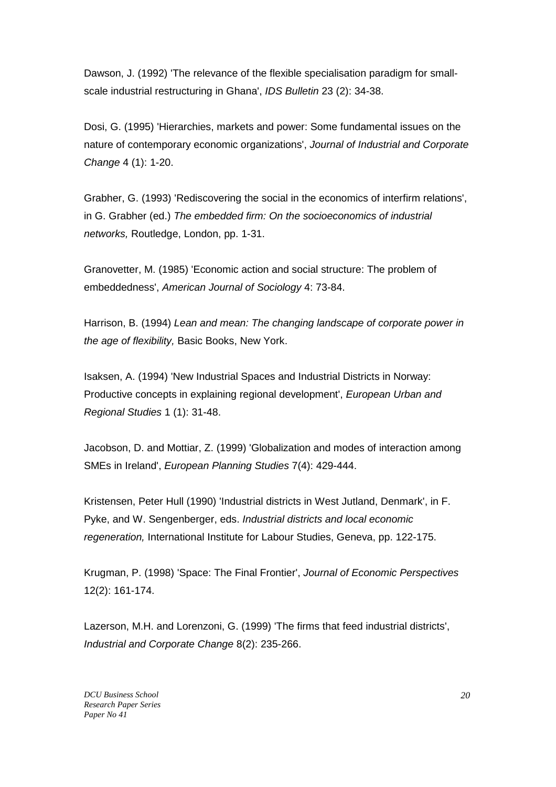Dawson, J. (1992) 'The relevance of the flexible specialisation paradigm for smallscale industrial restructuring in Ghana', IDS Bulletin 23 (2): 34-38.

Dosi, G. (1995) 'Hierarchies, markets and power: Some fundamental issues on the nature of contemporary economic organizations', Journal of Industrial and Corporate Change 4 (1): 1-20.

Grabher, G. (1993) 'Rediscovering the social in the economics of interfirm relations', in G. Grabher (ed.) The embedded firm: On the socioeconomics of industrial networks, Routledge, London, pp. 1-31.

Granovetter, M. (1985) 'Economic action and social structure: The problem of embeddedness', American Journal of Sociology 4: 73-84.

Harrison, B. (1994) Lean and mean: The changing landscape of corporate power in the age of flexibility, Basic Books, New York.

Isaksen, A. (1994) 'New Industrial Spaces and Industrial Districts in Norway: Productive concepts in explaining regional development', European Urban and Regional Studies 1 (1): 31-48.

Jacobson, D. and Mottiar, Z. (1999) 'Globalization and modes of interaction among SMEs in Ireland', European Planning Studies 7(4): 429-444.

Kristensen, Peter Hull (1990) 'Industrial districts in West Jutland, Denmark', in F. Pyke, and W. Sengenberger, eds. Industrial districts and local economic regeneration, International Institute for Labour Studies, Geneva, pp. 122-175.

Krugman, P. (1998) 'Space: The Final Frontier', Journal of Economic Perspectives 12(2): 161-174.

Lazerson, M.H. and Lorenzoni, G. (1999) 'The firms that feed industrial districts', Industrial and Corporate Change 8(2): 235-266.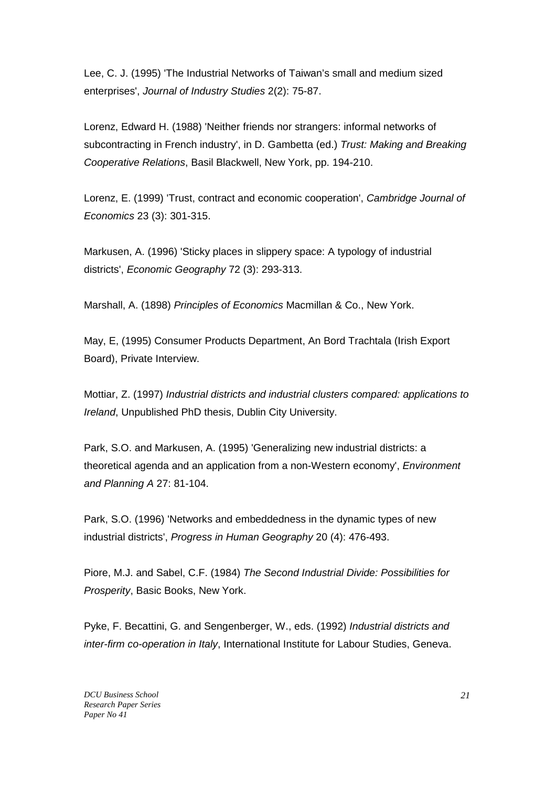Lee, C. J. (1995) 'The Industrial Networks of Taiwan's small and medium sized enterprises', Journal of Industry Studies 2(2): 75-87.

Lorenz, Edward H. (1988) 'Neither friends nor strangers: informal networks of subcontracting in French industry', in D. Gambetta (ed.) Trust: Making and Breaking Cooperative Relations, Basil Blackwell, New York, pp. 194-210.

Lorenz, E. (1999) 'Trust, contract and economic cooperation', Cambridge Journal of Economics 23 (3): 301-315.

Markusen, A. (1996) 'Sticky places in slippery space: A typology of industrial districts', Economic Geography 72 (3): 293-313.

Marshall, A. (1898) Principles of Economics Macmillan & Co., New York.

May, E, (1995) Consumer Products Department, An Bord Trachtala (Irish Export Board), Private Interview.

Mottiar, Z. (1997) Industrial districts and industrial clusters compared: applications to Ireland, Unpublished PhD thesis, Dublin City University.

Park, S.O. and Markusen, A. (1995) 'Generalizing new industrial districts: a theoretical agenda and an application from a non-Western economy', Environment and Planning A 27: 81-104.

Park, S.O. (1996) 'Networks and embeddedness in the dynamic types of new industrial districts', Progress in Human Geography 20 (4): 476-493.

Piore, M.J. and Sabel, C.F. (1984) The Second Industrial Divide: Possibilities for Prosperity, Basic Books, New York.

Pyke, F. Becattini, G. and Sengenberger, W., eds. (1992) Industrial districts and inter-firm co-operation in Italy, International Institute for Labour Studies, Geneva.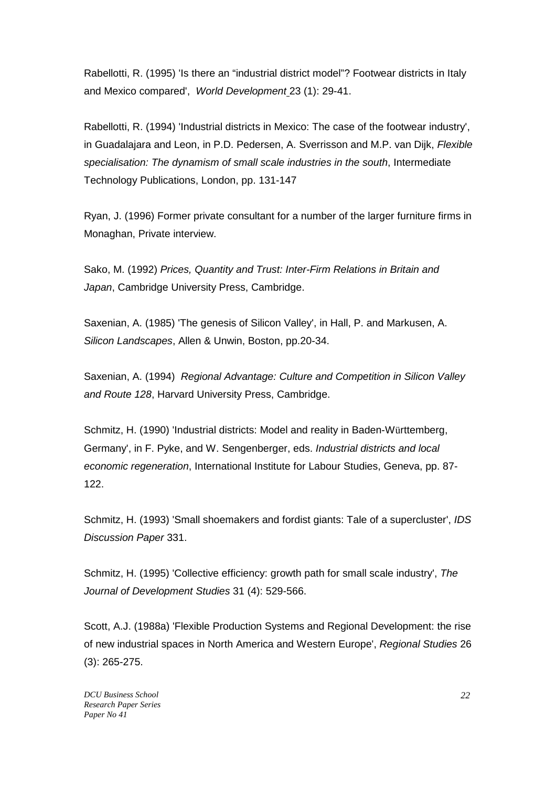Rabellotti, R. (1995) 'Is there an "industrial district model"? Footwear districts in Italy and Mexico compared', World Development 23 (1): 29-41.

Rabellotti, R. (1994) 'Industrial districts in Mexico: The case of the footwear industry', in Guadalajara and Leon, in P.D. Pedersen, A. Sverrisson and M.P. van Dijk, Flexible specialisation: The dynamism of small scale industries in the south, Intermediate Technology Publications, London, pp. 131-147

Ryan, J. (1996) Former private consultant for a number of the larger furniture firms in Monaghan, Private interview.

Sako, M. (1992) Prices, Quantity and Trust: Inter-Firm Relations in Britain and Japan, Cambridge University Press, Cambridge.

Saxenian, A. (1985) 'The genesis of Silicon Valley', in Hall, P. and Markusen, A. Silicon Landscapes, Allen & Unwin, Boston, pp.20-34.

Saxenian, A. (1994) Regional Advantage: Culture and Competition in Silicon Valley and Route 128, Harvard University Press, Cambridge.

Schmitz, H. (1990) 'Industrial districts: Model and reality in Baden-Württemberg, Germany', in F. Pyke, and W. Sengenberger, eds. Industrial districts and local economic regeneration, International Institute for Labour Studies, Geneva, pp. 87- 122.

Schmitz, H. (1993) 'Small shoemakers and fordist giants: Tale of a supercluster', IDS Discussion Paper 331.

Schmitz, H. (1995) 'Collective efficiency: growth path for small scale industry', The Journal of Development Studies 31 (4): 529-566.

Scott, A.J. (1988a) 'Flexible Production Systems and Regional Development: the rise of new industrial spaces in North America and Western Europe', Regional Studies 26 (3): 265-275.